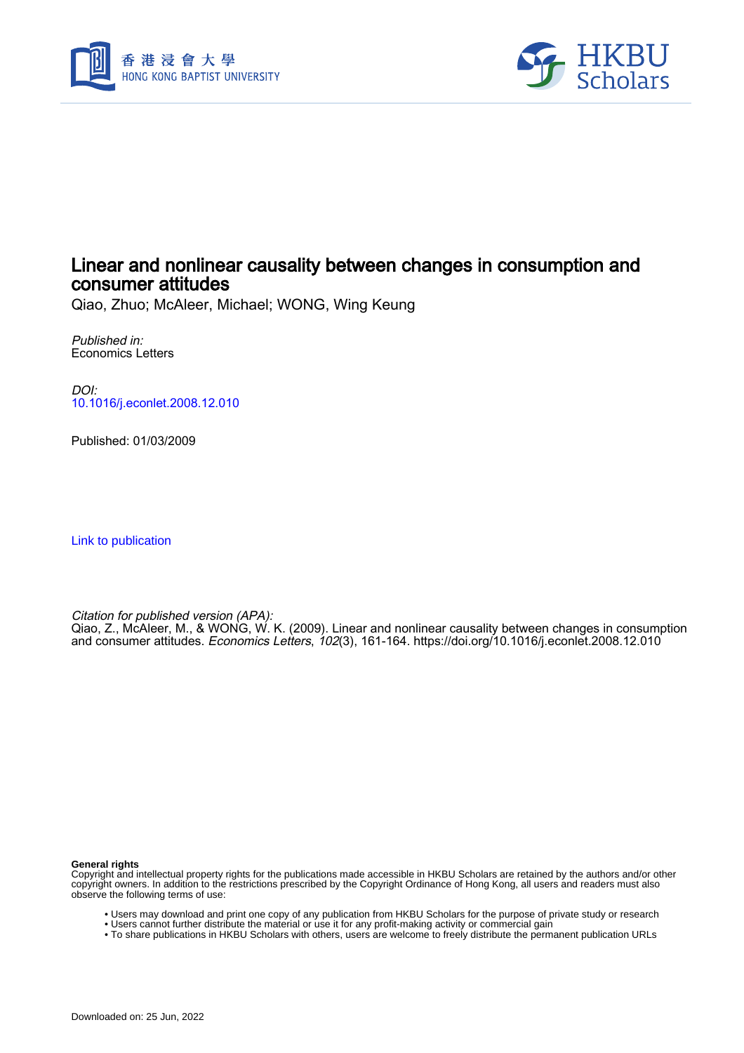



# Linear and nonlinear causality between changes in consumption and consumer attitudes

Qiao, Zhuo; McAleer, Michael; WONG, Wing Keung

Published in: Economics Letters

DOI: [10.1016/j.econlet.2008.12.010](https://doi.org/10.1016/j.econlet.2008.12.010)

Published: 01/03/2009

[Link to publication](https://scholars.hkbu.edu.hk/en/publications/5c1cb29f-70ae-493e-92a2-78f1c8fd7af9)

Citation for published version (APA):

Qiao, Z., McAleer, M., & WONG, W. K. (2009). Linear and nonlinear causality between changes in consumption and consumer attitudes. *Economics Letters*, *102*(3), 161-164. <https://doi.org/10.1016/j.econlet.2008.12.010>

**General rights**

Copyright and intellectual property rights for the publications made accessible in HKBU Scholars are retained by the authors and/or other copyright owners. In addition to the restrictions prescribed by the Copyright Ordinance of Hong Kong, all users and readers must also observe the following terms of use:

- Users may download and print one copy of any publication from HKBU Scholars for the purpose of private study or research
- Users cannot further distribute the material or use it for any profit-making activity or commercial gain
- To share publications in HKBU Scholars with others, users are welcome to freely distribute the permanent publication URLs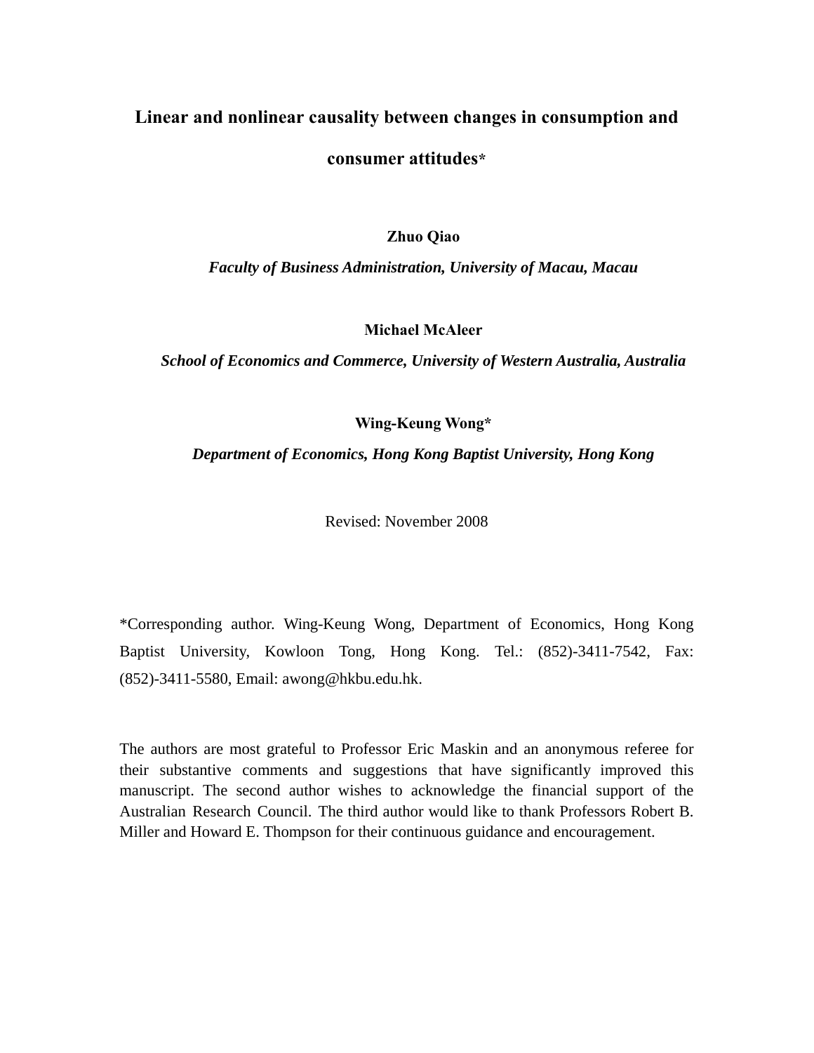# **Linear and nonlinear causality between changes in consumption and**

# **consumer attitudes\***

**Zhuo Qiao** 

*Faculty of Business Administration, University of Macau, Macau* 

**Michael McAleer** 

*School of Economics and Commerce, University of Western Australia, Australia* 

**Wing-Keung Wong\*** 

*Department of Economics, Hong Kong Baptist University, Hong Kong* 

Revised: November 2008

\*Corresponding author. Wing-Keung Wong, Department of Economics, Hong Kong Baptist University, Kowloon Tong, Hong Kong. Tel.: (852)-3411-7542, Fax: (852)-3411-5580, Email: awong@hkbu.edu.hk.

The authors are most grateful to Professor Eric Maskin and an anonymous referee for their substantive comments and suggestions that have significantly improved this manuscript. The second author wishes to acknowledge the financial support of the Australian Research Council. The third author would like to thank Professors Robert B. Miller and Howard E. Thompson for their continuous guidance and encouragement.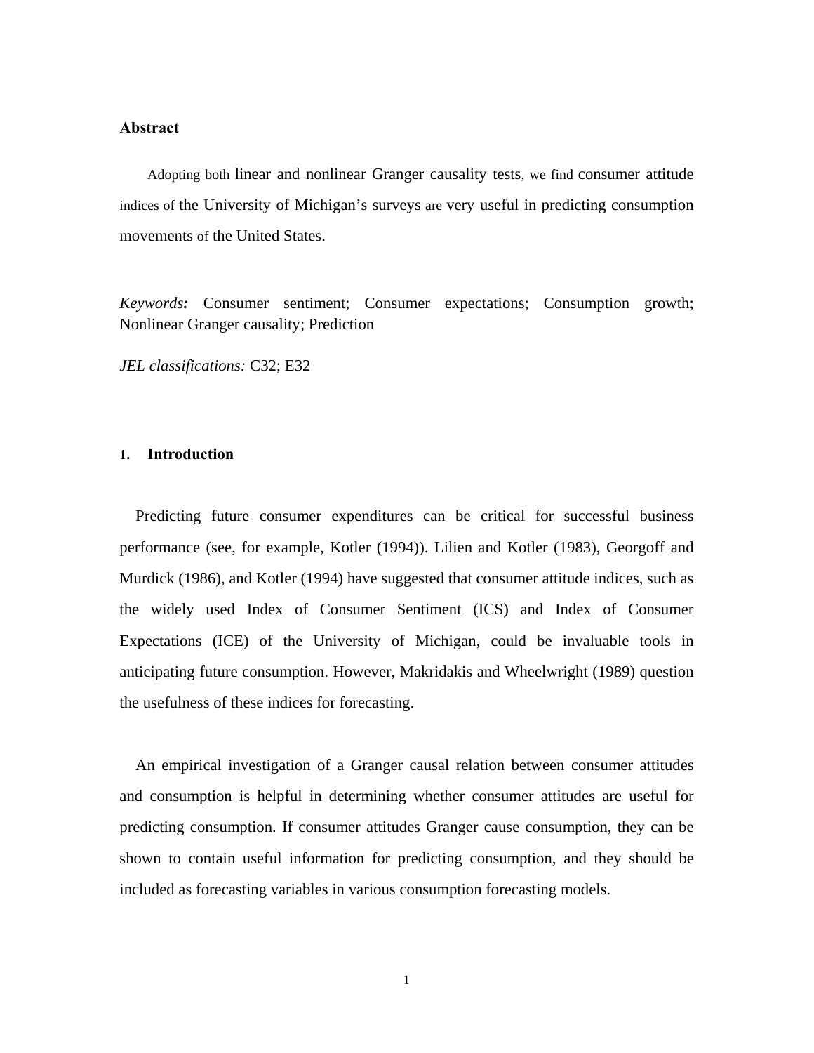# **Abstract**

Adopting both linear and nonlinear Granger causality tests, we find consumer attitude indices of the University of Michigan's surveys are very useful in predicting consumption movements of the United States.

*Keywords:* Consumer sentiment; Consumer expectations; Consumption growth; Nonlinear Granger causality; Prediction

*JEL classifications:* C32; E32

# **1. Introduction**

 Predicting future consumer expenditures can be critical for successful business performance (see, for example, Kotler (1994)). Lilien and Kotler (1983), Georgoff and Murdick (1986), and Kotler (1994) have suggested that consumer attitude indices, such as the widely used Index of Consumer Sentiment (ICS) and Index of Consumer Expectations (ICE) of the University of Michigan, could be invaluable tools in anticipating future consumption. However, Makridakis and Wheelwright (1989) question the usefulness of these indices for forecasting.

 An empirical investigation of a Granger causal relation between consumer attitudes and consumption is helpful in determining whether consumer attitudes are useful for predicting consumption. If consumer attitudes Granger cause consumption, they can be shown to contain useful information for predicting consumption, and they should be included as forecasting variables in various consumption forecasting models.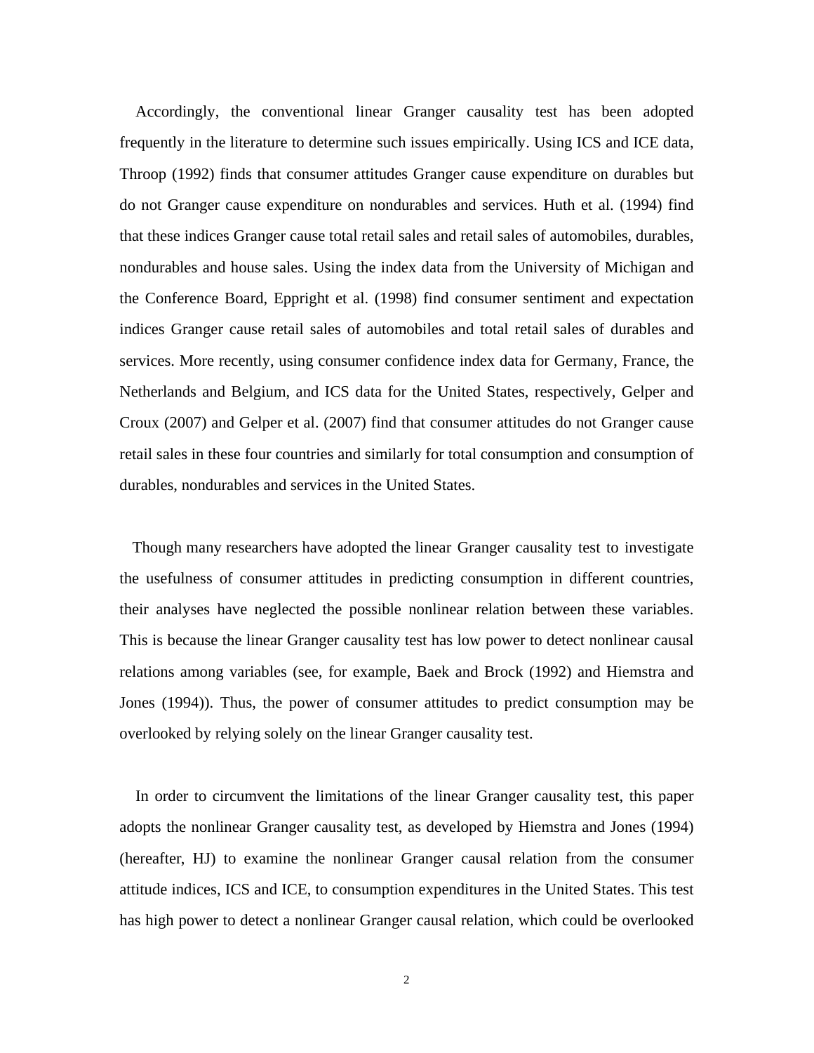Accordingly, the conventional linear Granger causality test has been adopted frequently in the literature to determine such issues empirically. Using ICS and ICE data, Throop (1992) finds that consumer attitudes Granger cause expenditure on durables but do not Granger cause expenditure on nondurables and services. Huth et al. (1994) find that these indices Granger cause total retail sales and retail sales of automobiles, durables, nondurables and house sales. Using the index data from the University of Michigan and the Conference Board, Eppright et al. (1998) find consumer sentiment and expectation indices Granger cause retail sales of automobiles and total retail sales of durables and services. More recently, using consumer confidence index data for Germany, France, the Netherlands and Belgium, and ICS data for the United States, respectively, Gelper and Croux (2007) and Gelper et al. (2007) find that consumer attitudes do not Granger cause retail sales in these four countries and similarly for total consumption and consumption of durables, nondurables and services in the United States.

 Though many researchers have adopted the linear Granger causality test to investigate the usefulness of consumer attitudes in predicting consumption in different countries, their analyses have neglected the possible nonlinear relation between these variables. This is because the linear Granger causality test has low power to detect nonlinear causal relations among variables (see, for example, Baek and Brock (1992) and Hiemstra and Jones (1994)). Thus, the power of consumer attitudes to predict consumption may be overlooked by relying solely on the linear Granger causality test.

 In order to circumvent the limitations of the linear Granger causality test, this paper adopts the nonlinear Granger causality test, as developed by Hiemstra and Jones (1994) (hereafter, HJ) to examine the nonlinear Granger causal relation from the consumer attitude indices, ICS and ICE, to consumption expenditures in the United States. This test has high power to detect a nonlinear Granger causal relation, which could be overlooked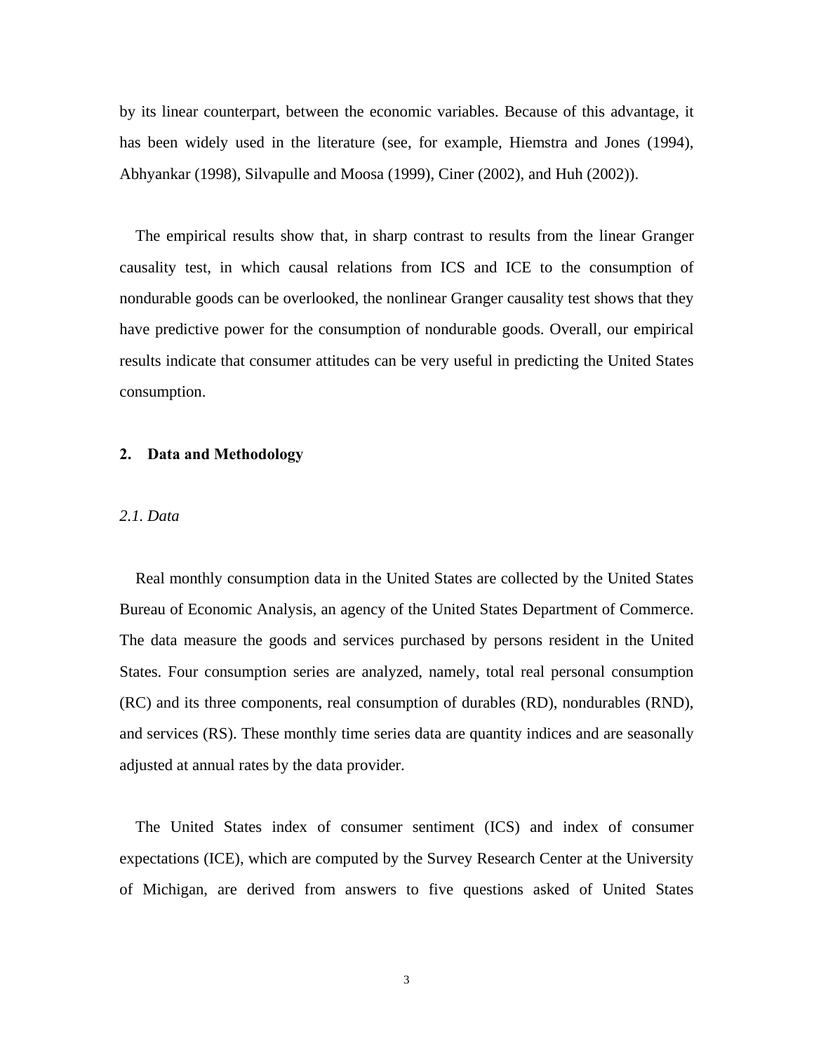by its linear counterpart, between the economic variables. Because of this advantage, it has been widely used in the literature (see, for example, Hiemstra and Jones (1994), Abhyankar (1998), Silvapulle and Moosa (1999), Ciner (2002), and Huh (2002)).

 The empirical results show that, in sharp contrast to results from the linear Granger causality test, in which causal relations from ICS and ICE to the consumption of nondurable goods can be overlooked, the nonlinear Granger causality test shows that they have predictive power for the consumption of nondurable goods. Overall, our empirical results indicate that consumer attitudes can be very useful in predicting the United States consumption.

# **2. Data and Methodology**

#### *2.1. Data*

 Real monthly consumption data in the United States are collected by the United States Bureau of Economic Analysis, an agency of the United States Department of Commerce. The data measure the goods and services purchased by persons resident in the United States. Four consumption series are analyzed, namely, total real personal consumption (RC) and its three components, real consumption of durables (RD), nondurables (RND), and services (RS). These monthly time series data are quantity indices and are seasonally adjusted at annual rates by the data provider.

 The United States index of consumer sentiment (ICS) and index of consumer expectations (ICE), which are computed by the Survey Research Center at the University of Michigan, are derived from answers to five questions asked of United States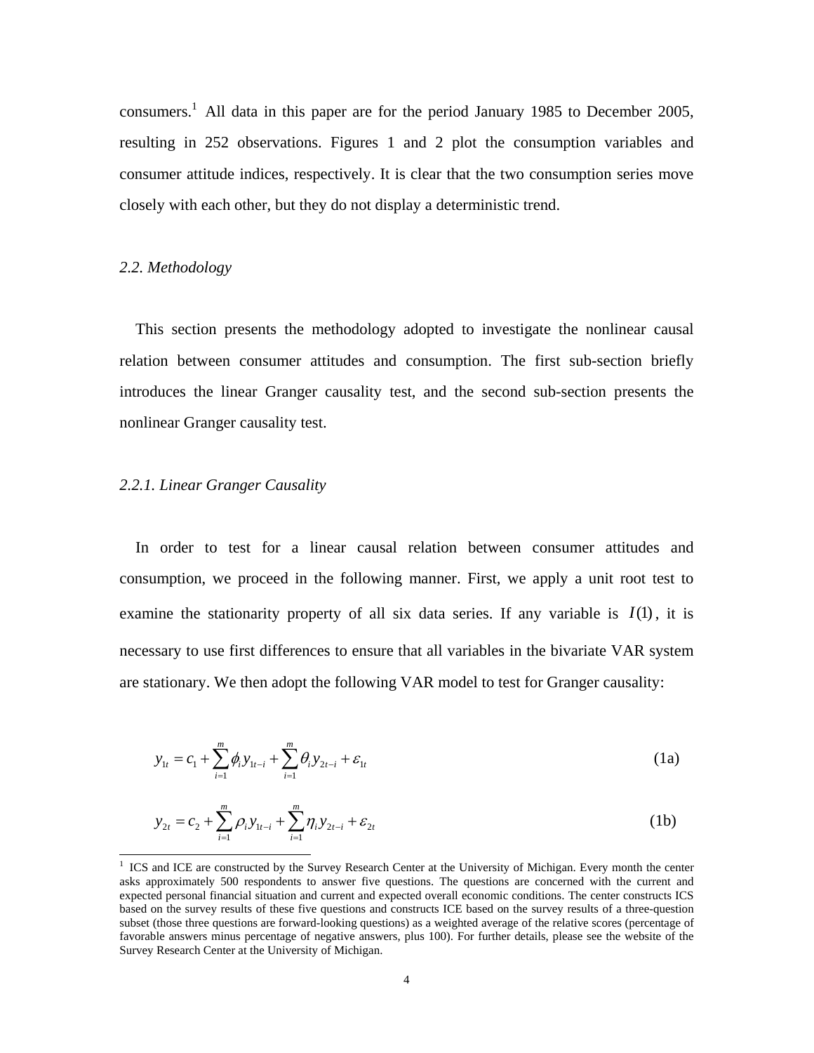consumers.<sup>1</sup> All data in this paper are for the period January 1985 to December 2005, resulting in 252 observations. Figures 1 and 2 plot the consumption variables and consumer attitude indices, respectively. It is clear that the two consumption series move closely with each other, but they do not display a deterministic trend.

#### *2.2. Methodology*

 $\overline{a}$ 

 This section presents the methodology adopted to investigate the nonlinear causal relation between consumer attitudes and consumption. The first sub-section briefly introduces the linear Granger causality test, and the second sub-section presents the nonlinear Granger causality test.

## *2.2.1. Linear Granger Causality*

 In order to test for a linear causal relation between consumer attitudes and consumption, we proceed in the following manner. First, we apply a unit root test to examine the stationarity property of all six data series. If any variable is  $I(1)$ , it is necessary to use first differences to ensure that all variables in the bivariate VAR system are stationary. We then adopt the following VAR model to test for Granger causality:

$$
y_{1t} = c_1 + \sum_{i=1}^{m} \phi_i y_{1t-i} + \sum_{i=1}^{m} \theta_i y_{2t-i} + \varepsilon_{1t}
$$
 (1a)

$$
y_{2t} = c_2 + \sum_{i=1}^{m} \rho_i y_{1t-i} + \sum_{i=1}^{m} \eta_i y_{2t-i} + \varepsilon_{2t}
$$
 (1b)

<sup>&</sup>lt;sup>1</sup> ICS and ICE are constructed by the Survey Research Center at the University of Michigan. Every month the center asks approximately 500 respondents to answer five questions. The questions are concerned with the current and expected personal financial situation and current and expected overall economic conditions. The center constructs ICS based on the survey results of these five questions and constructs ICE based on the survey results of a three-question subset (those three questions are forward-looking questions) as a weighted average of the relative scores (percentage of favorable answers minus percentage of negative answers, plus 100). For further details, please see the website of the Survey Research Center at the University of Michigan.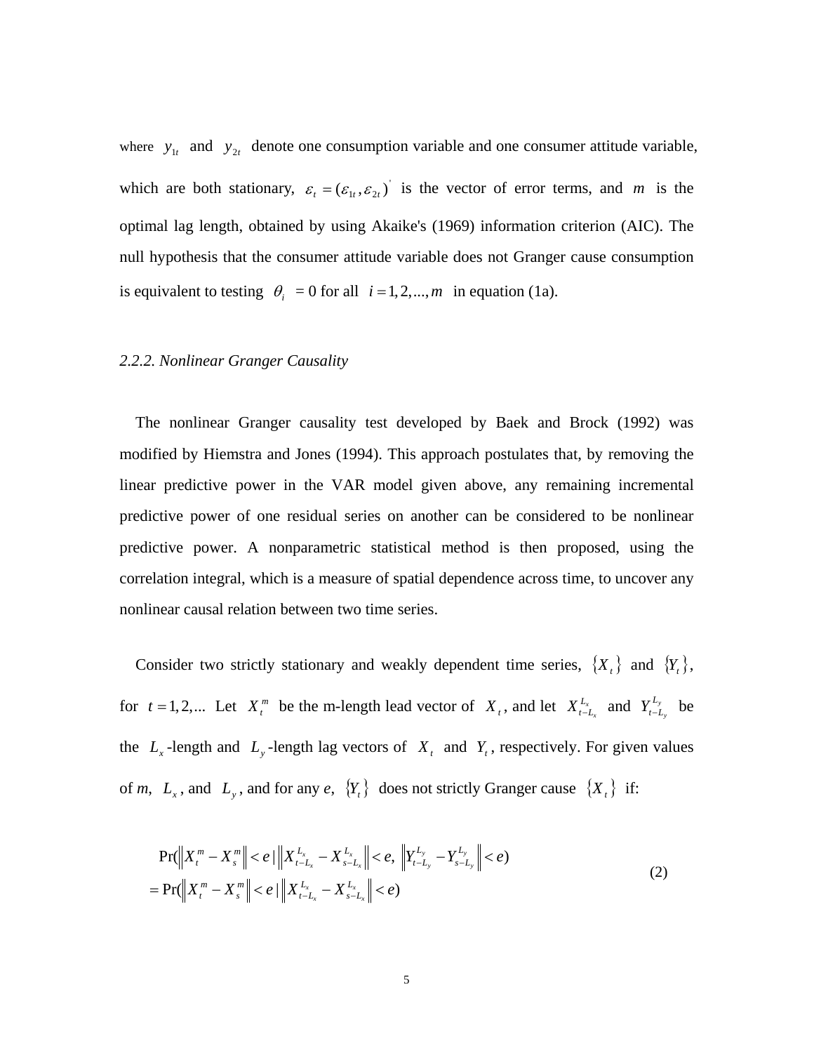where  $y_{1t}$  and  $y_{2t}$  denote one consumption variable and one consumer attitude variable, which are both stationary,  $\varepsilon_t = (\varepsilon_{1t}, \varepsilon_{2t})$  is the vector of error terms, and *m* is the optimal lag length, obtained by using Akaike's (1969) information criterion (AIC). The null hypothesis that the consumer attitude variable does not Granger cause consumption is equivalent to testing  $\theta_i = 0$  for all  $i = 1, 2, ..., m$  in equation (1a).

## *2.2.2. Nonlinear Granger Causality*

 The nonlinear Granger causality test developed by Baek and Brock (1992) was modified by Hiemstra and Jones (1994). This approach postulates that, by removing the linear predictive power in the VAR model given above, any remaining incremental predictive power of one residual series on another can be considered to be nonlinear predictive power. A nonparametric statistical method is then proposed, using the correlation integral, which is a measure of spatial dependence across time, to uncover any nonlinear causal relation between two time series.

Consider two strictly stationary and weakly dependent time series,  $\{X_t\}$  and  $\{Y_t\}$ , for  $t = 1, 2,...$  Let  $X_t^m$  be the m-length lead vector of  $X_t$ , and let  $X_{t-L_x}^{L_x}$  and  $Y_{t-L_y}^{L_y}$  be the  $L_x$ -length and  $L_y$ -length lag vectors of  $X_t$  and  $Y_t$ , respectively. For given values of *m*,  $L_x$ , and  $L_y$ , and for any *e*,  ${Y_t}$  does not strictly Granger cause  ${X_t}$  if:

$$
\Pr(\left\|X_t^m - X_s^m\right\| < e) \left\|X_{t-L_x}^{L_x} - X_{s-L_x}^{L_x}\right\| < e, \left\|Y_{t-L_y}^{L_y} - Y_{s-L_y}^{L_y}\right\| < e) \\
= \Pr(\left\|X_t^m - X_s^m\right\| < e) \left\|X_{t-L_x}^{L_x} - X_{s-L_x}^{L_x}\right\| < e) \tag{2}
$$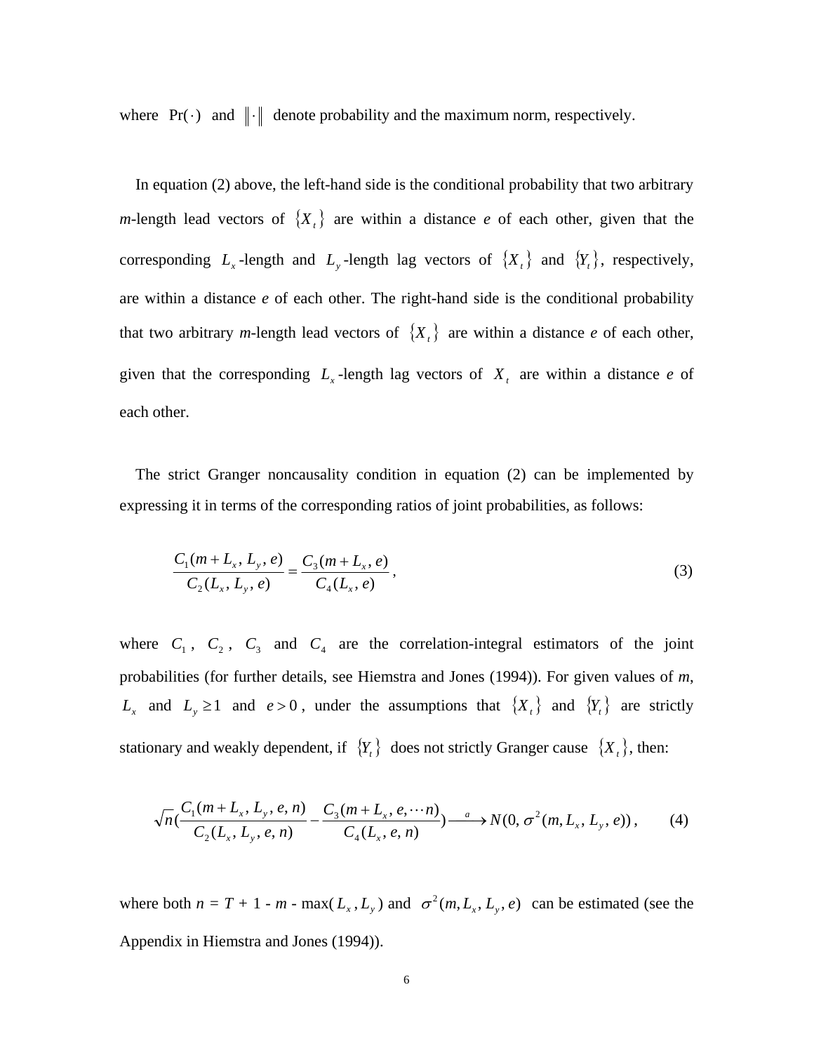where  $Pr(\cdot)$  and  $\|\cdot\|$  denote probability and the maximum norm, respectively.

 In equation (2) above, the left-hand side is the conditional probability that two arbitrary *m*-length lead vectors of  $\{X_t\}$  are within a distance *e* of each other, given that the corresponding  $L_x$ -length and  $L_y$ -length lag vectors of  $\{X_t\}$  and  $\{Y_t\}$ , respectively, are within a distance *e* of each other. The right-hand side is the conditional probability that two arbitrary *m*-length lead vectors of  $\{X_t\}$  are within a distance *e* of each other, given that the corresponding  $L<sub>x</sub>$ -length lag vectors of  $X<sub>t</sub>$  are within a distance *e* of each other.

 The strict Granger noncausality condition in equation (2) can be implemented by expressing it in terms of the corresponding ratios of joint probabilities, as follows:

$$
\frac{C_1(m+L_x, L_y, e)}{C_2(L_x, L_y, e)} = \frac{C_3(m+L_x, e)}{C_4(L_x, e)},
$$
\n(3)

where  $C_1$ ,  $C_2$ ,  $C_3$  and  $C_4$  are the correlation-integral estimators of the joint probabilities (for further details, see Hiemstra and Jones (1994)). For given values of *m*,  $L_x$  and  $L_y \ge 1$  and  $e > 0$ , under the assumptions that  $\{X_t\}$  and  $\{Y_t\}$  are strictly stationary and weakly dependent, if  ${Y_t}$  does not strictly Granger cause  ${X_t}$ , then:

$$
\sqrt{n}(\frac{C_1(m+L_x, L_y, e, n)}{C_2(L_x, L_y, e, n)} - \frac{C_3(m+L_x, e, \cdots n)}{C_4(L_x, e, n)}) \xrightarrow{a} N(0, \sigma^2(m, L_x, L_y, e)),
$$
 (4)

where both  $n = T + 1 - m - \max(L_x, L_y)$  and  $\sigma^2(m, L_x, L_y, e)$  can be estimated (see the Appendix in Hiemstra and Jones (1994)).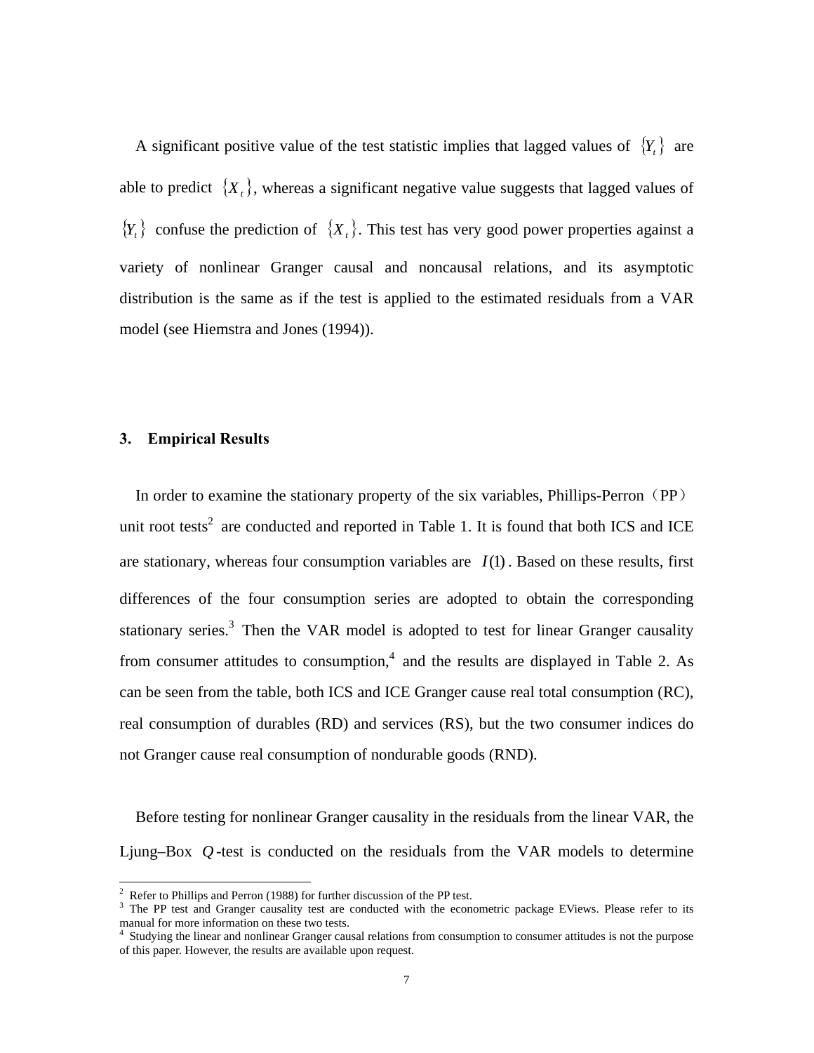A significant positive value of the test statistic implies that lagged values of  ${Y<sub>i</sub>}$  are able to predict  $\{X_t\}$ , whereas a significant negative value suggests that lagged values of  ${Y<sub>t</sub>}$  confuse the prediction of  ${X<sub>t</sub>}$ . This test has very good power properties against a variety of nonlinear Granger causal and noncausal relations, and its asymptotic distribution is the same as if the test is applied to the estimated residuals from a VAR model (see Hiemstra and Jones (1994)).

## **3. Empirical Results**

In order to examine the stationary property of the six variables, Phillips-Perron  $(PP)$ unit root tests<sup>2</sup> are conducted and reported in Table 1. It is found that both ICS and ICE are stationary, whereas four consumption variables are  $I(1)$ . Based on these results, first differences of the four consumption series are adopted to obtain the corresponding stationary series.<sup>3</sup> Then the VAR model is adopted to test for linear Granger causality from consumer attitudes to consumption,<sup>4</sup> and the results are displayed in Table 2. As can be seen from the table, both ICS and ICE Granger cause real total consumption (RC), real consumption of durables (RD) and services (RS), but the two consumer indices do not Granger cause real consumption of nondurable goods (RND).

 Before testing for nonlinear Granger causality in the residuals from the linear VAR, the Ljung–Box *Q* -test is conducted on the residuals from the VAR models to determine

 $\frac{1}{2}$ 

<sup>&</sup>lt;sup>2</sup> Refer to Phillips and Perron (1988) for further discussion of the PP test.<br><sup>3</sup> The PP test and Granger causality test are conducted with the econometric package EViews. Please refer to its manual for more information on these two tests.<br><sup>4</sup> Studying the linear and nonlinear Granger causal relations from consumption to consumer attitudes is not the purpose

of this paper. However, the results are available upon request.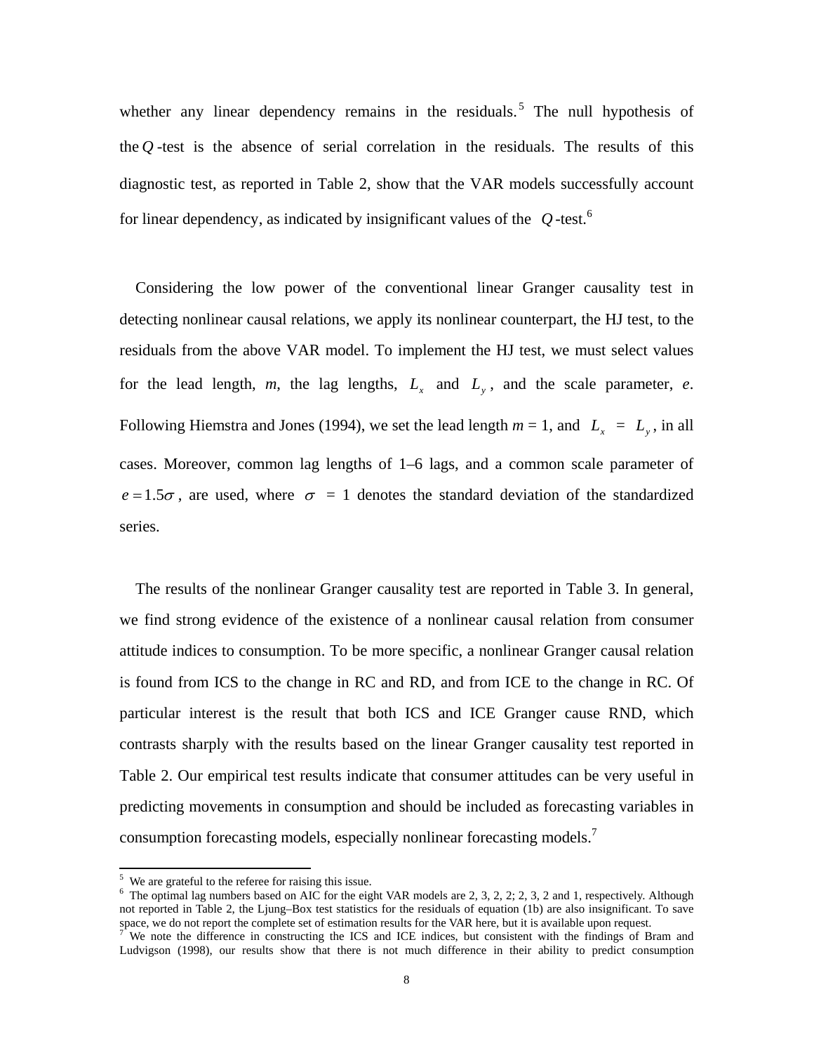whether any linear dependency remains in the residuals.<sup>5</sup> The null hypothesis of the  $Q$ -test is the absence of serial correlation in the residuals. The results of this diagnostic test, as reported in Table 2, show that the VAR models successfully account for linear dependency, as indicated by insignificant values of the *Q* -test.<sup>6</sup>

 Considering the low power of the conventional linear Granger causality test in detecting nonlinear causal relations, we apply its nonlinear counterpart, the HJ test, to the residuals from the above VAR model. To implement the HJ test, we must select values for the lead length,  $m$ , the lag lengths,  $L_x$  and  $L_y$ , and the scale parameter,  $e$ . Following Hiemstra and Jones (1994), we set the lead length  $m = 1$ , and  $L<sub>x</sub> = L<sub>y</sub>$ , in all cases. Moreover, common lag lengths of 1–6 lags, and a common scale parameter of  $e = 1.5\sigma$ , are used, where  $\sigma = 1$  denotes the standard deviation of the standardized series.

 The results of the nonlinear Granger causality test are reported in Table 3. In general, we find strong evidence of the existence of a nonlinear causal relation from consumer attitude indices to consumption. To be more specific, a nonlinear Granger causal relation is found from ICS to the change in RC and RD, and from ICE to the change in RC. Of particular interest is the result that both ICS and ICE Granger cause RND, which contrasts sharply with the results based on the linear Granger causality test reported in Table 2. Our empirical test results indicate that consumer attitudes can be very useful in predicting movements in consumption and should be included as forecasting variables in consumption forecasting models, especially nonlinear forecasting models.<sup>7</sup>

 $\frac{5}{5}$  We are grateful to the referee for raising this issue.

<sup>&</sup>lt;sup>6</sup> The optimal lag numbers based on AIC for the eight VAR models are 2, 3, 2, 2; 2, 3, 2 and 1, respectively. Although not reported in Table 2, the Ljung–Box test statistics for the residuals of equation (1b) are also insignificant. To save space, we do not report the complete set of estimation results for the VAR here, but it is available upon request.

We note the difference in constructing the ICS and ICE indices, but consistent with the findings of Bram and Ludvigson (1998), our results show that there is not much difference in their ability to predict consumption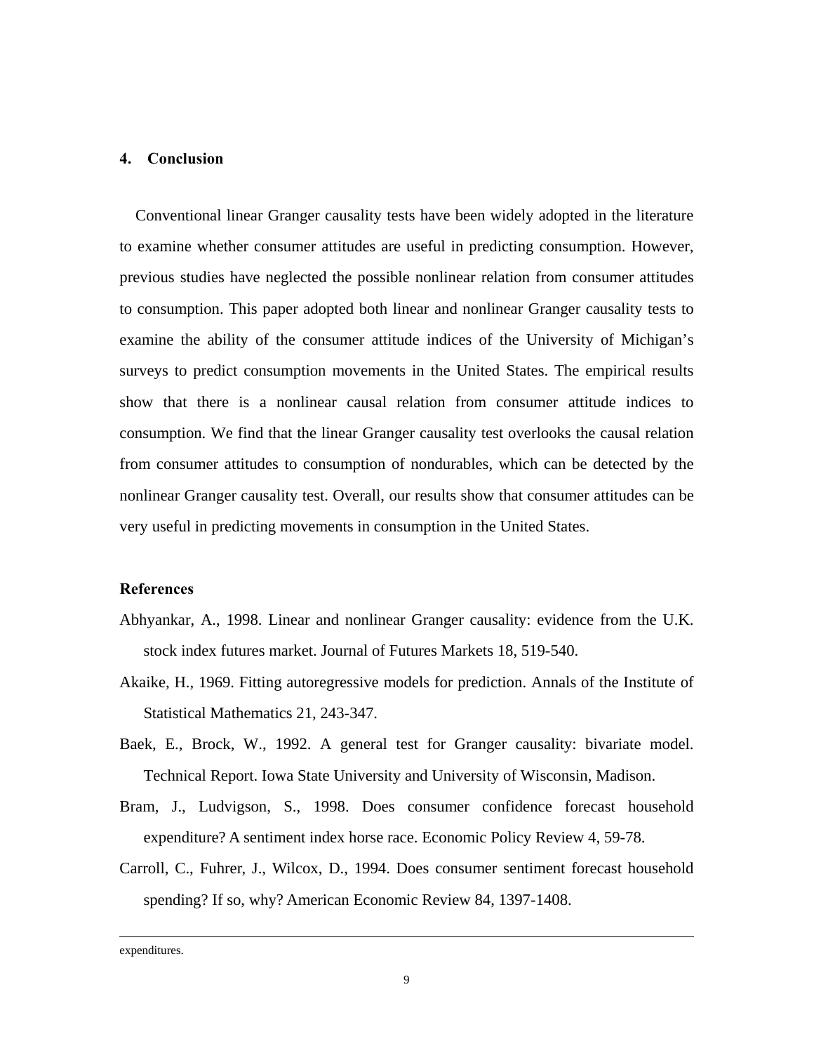#### **4. Conclusion**

 Conventional linear Granger causality tests have been widely adopted in the literature to examine whether consumer attitudes are useful in predicting consumption. However, previous studies have neglected the possible nonlinear relation from consumer attitudes to consumption. This paper adopted both linear and nonlinear Granger causality tests to examine the ability of the consumer attitude indices of the University of Michigan's surveys to predict consumption movements in the United States. The empirical results show that there is a nonlinear causal relation from consumer attitude indices to consumption. We find that the linear Granger causality test overlooks the causal relation from consumer attitudes to consumption of nondurables, which can be detected by the nonlinear Granger causality test. Overall, our results show that consumer attitudes can be very useful in predicting movements in consumption in the United States.

#### **References**

- Abhyankar, A., 1998. Linear and nonlinear Granger causality: evidence from the U.K. stock index futures market. Journal of Futures Markets 18, 519-540.
- Akaike, H., 1969. Fitting autoregressive models for prediction. Annals of the Institute of Statistical Mathematics 21, 243-347.
- Baek, E., Brock, W., 1992. A general test for Granger causality: bivariate model. Technical Report. Iowa State University and University of Wisconsin, Madison.
- Bram, J., Ludvigson, S., 1998. Does consumer confidence forecast household expenditure? A sentiment index horse race. Economic Policy Review 4, 59-78.
- Carroll, C., Fuhrer, J., Wilcox, D., 1994. Does consumer sentiment forecast household spending? If so, why? American Economic Review 84, 1397-1408.

expenditures.

 $\overline{a}$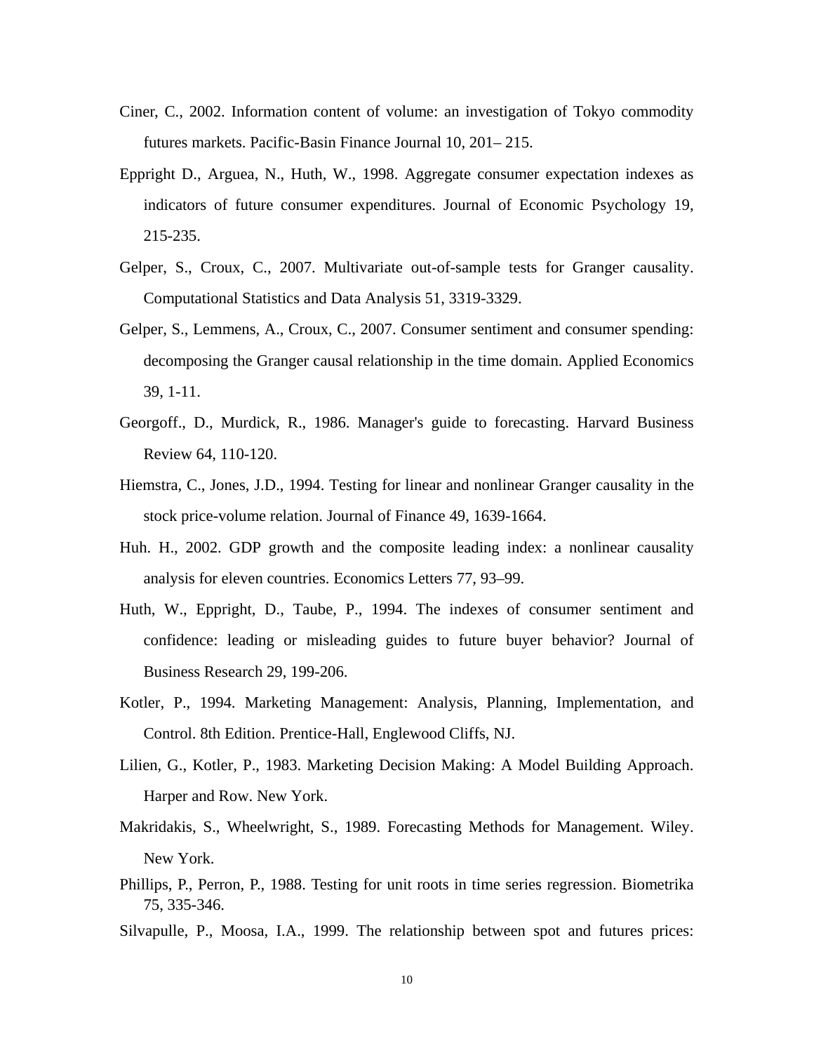- Ciner, C., 2002. Information content of volume: an investigation of Tokyo commodity futures markets. Pacific-Basin Finance Journal 10, 201– 215.
- Eppright D., Arguea, N., Huth, W., 1998. Aggregate consumer expectation indexes as indicators of future consumer expenditures. Journal of Economic Psychology 19, 215-235.
- Gelper, S., Croux, C., 2007. Multivariate out-of-sample tests for Granger causality. Computational Statistics and Data Analysis 51, 3319-3329.
- Gelper, S., Lemmens, A., Croux, C., 2007. Consumer sentiment and consumer spending: decomposing the Granger causal relationship in the time domain. Applied Economics 39, 1-11.
- Georgoff., D., Murdick, R., 1986. Manager's guide to forecasting. Harvard Business Review 64, 110-120.
- Hiemstra, C., Jones, J.D., 1994. Testing for linear and nonlinear Granger causality in the stock price-volume relation. Journal of Finance 49, 1639-1664.
- Huh. H., 2002. GDP growth and the composite leading index: a nonlinear causality analysis for eleven countries. Economics Letters 77, 93–99.
- Huth, W., Eppright, D., Taube, P., 1994. The indexes of consumer sentiment and confidence: leading or misleading guides to future buyer behavior? Journal of Business Research 29, 199-206.
- Kotler, P., 1994. Marketing Management: Analysis, Planning, Implementation, and Control. 8th Edition. Prentice-Hall, Englewood Cliffs, NJ.
- Lilien, G., Kotler, P., 1983. Marketing Decision Making: A Model Building Approach. Harper and Row. New York.
- Makridakis, S., Wheelwright, S., 1989. Forecasting Methods for Management. Wiley. New York.
- Phillips, P., Perron, P., 1988. Testing for unit roots in time series regression. Biometrika 75, 335-346.
- Silvapulle, P., Moosa, I.A., 1999. The relationship between spot and futures prices: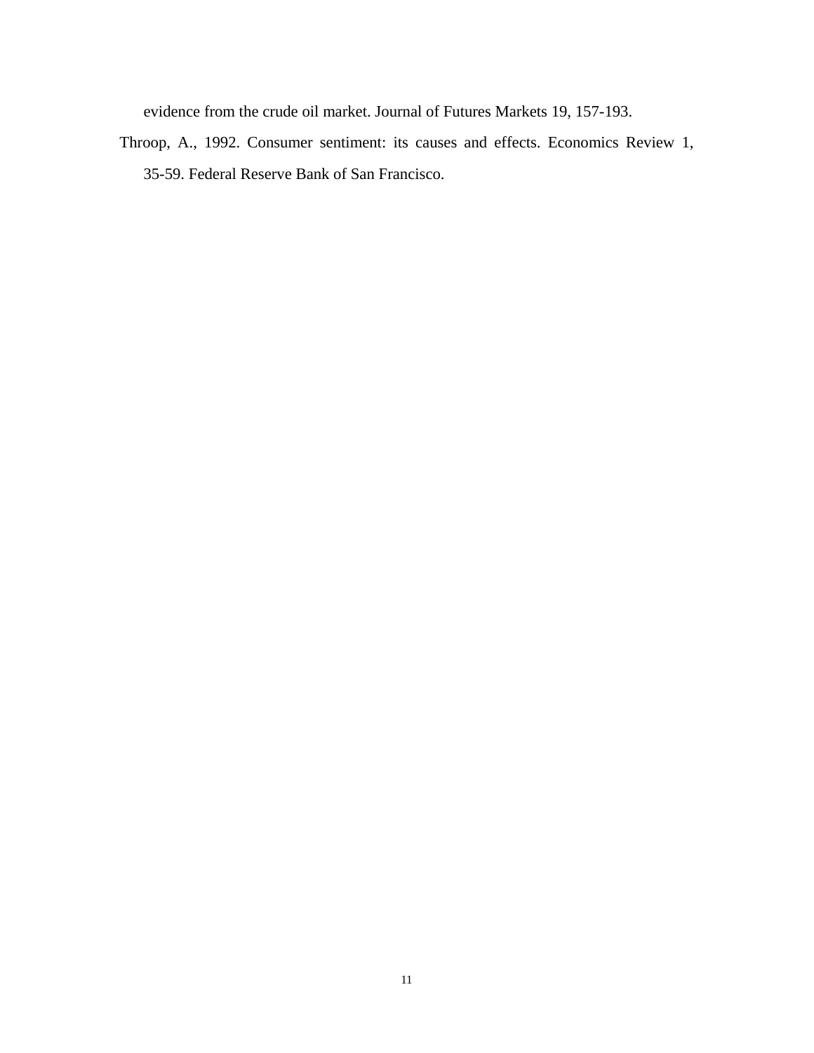evidence from the crude oil market. Journal of Futures Markets 19, 157-193.

Throop, A., 1992. Consumer sentiment: its causes and effects. Economics Review 1, 35-59. Federal Reserve Bank of San Francisco.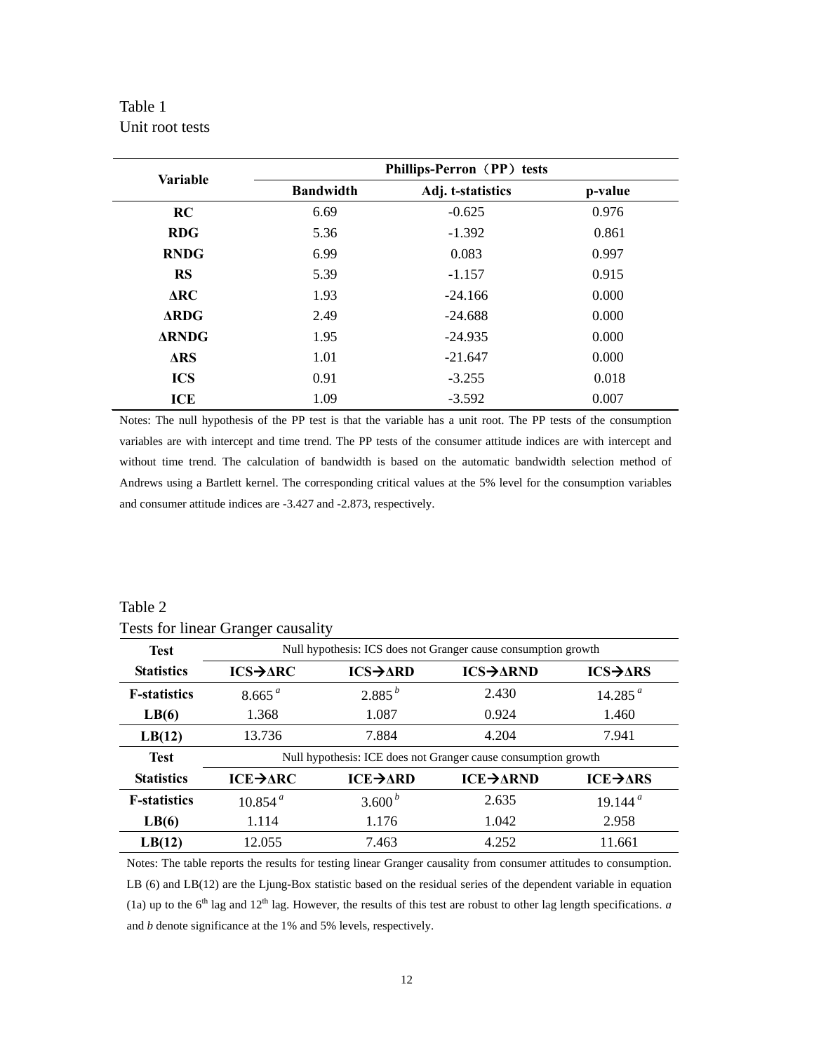# Table 1 Unit root tests

| <b>Variable</b> | Phillips-Perron (PP) tests |                   |         |  |
|-----------------|----------------------------|-------------------|---------|--|
|                 | <b>Bandwidth</b>           | Adj. t-statistics | p-value |  |
| RC              | 6.69                       | $-0.625$          | 0.976   |  |
| <b>RDG</b>      | 5.36                       | $-1.392$          | 0.861   |  |
| <b>RNDG</b>     | 6.99                       | 0.083             | 0.997   |  |
| <b>RS</b>       | 5.39                       | $-1.157$          | 0.915   |  |
| $\Delta$ RC     | 1.93                       | $-24.166$         | 0.000   |  |
| $\Delta RDG$    | 2.49                       | $-24.688$         | 0.000   |  |
| <b>ARNDG</b>    | 1.95                       | $-24.935$         | 0.000   |  |
| $\Delta$ RS     | 1.01                       | $-21.647$         | 0.000   |  |
| <b>ICS</b>      | 0.91                       | $-3.255$          | 0.018   |  |
| ICE             | 1.09                       | $-3.592$          | 0.007   |  |

Notes: The null hypothesis of the PP test is that the variable has a unit root. The PP tests of the consumption variables are with intercept and time trend. The PP tests of the consumer attitude indices are with intercept and without time trend. The calculation of bandwidth is based on the automatic bandwidth selection method of Andrews using a Bartlett kernel. The corresponding critical values at the 5% level for the consumption variables and consumer attitude indices are -3.427 and -2.873, respectively.

| <b>Test</b>         | Null hypothesis: ICS does not Granger cause consumption growth |                              |                 |                             |  |  |
|---------------------|----------------------------------------------------------------|------------------------------|-----------------|-----------------------------|--|--|
| <b>Statistics</b>   | $ICS \rightarrow \Delta RC$                                    | $ICS \rightarrow \Delta RD$  | <b>ICS→ARND</b> | $ICS \rightarrow \Delta RS$ |  |  |
| <b>F-statistics</b> | 8.665 <sup>a</sup>                                             | $2.885^{b}$                  | 2.430           | 14.285 $a$                  |  |  |
| LB(6)               | 1.368                                                          | 1.087                        | 0.924           | 1.460                       |  |  |
| LB(12)              | 13.736                                                         | 7.884                        | 4.204           | 7.941                       |  |  |
| <b>Test</b>         | Null hypothesis: ICE does not Granger cause consumption growth |                              |                 |                             |  |  |
| <b>Statistics</b>   | $ICE \rightarrow \Delta RC$                                    | $ICE \rightarrow \text{ARD}$ | ICE→ARND        | $ICE \rightarrow \Delta RS$ |  |  |
| <b>F-statistics</b> | 10.854 <sup>a</sup>                                            | 3.600 $^{b}$                 | 2.635           | 19.144 <sup>a</sup>         |  |  |
| LB(6)               | 1.114                                                          | 1.176                        | 1.042           | 2.958                       |  |  |
| LB(12)              | 12.055                                                         | 7.463                        | 4.252           | 11.661                      |  |  |

Table 2 Tests for linear Granger causality

Notes: The table reports the results for testing linear Granger causality from consumer attitudes to consumption. LB (6) and LB(12) are the Ljung-Box statistic based on the residual series of the dependent variable in equation (1a) up to the  $6<sup>th</sup>$  lag and 12<sup>th</sup> lag. However, the results of this test are robust to other lag length specifications. *a* and *b* denote significance at the 1% and 5% levels, respectively.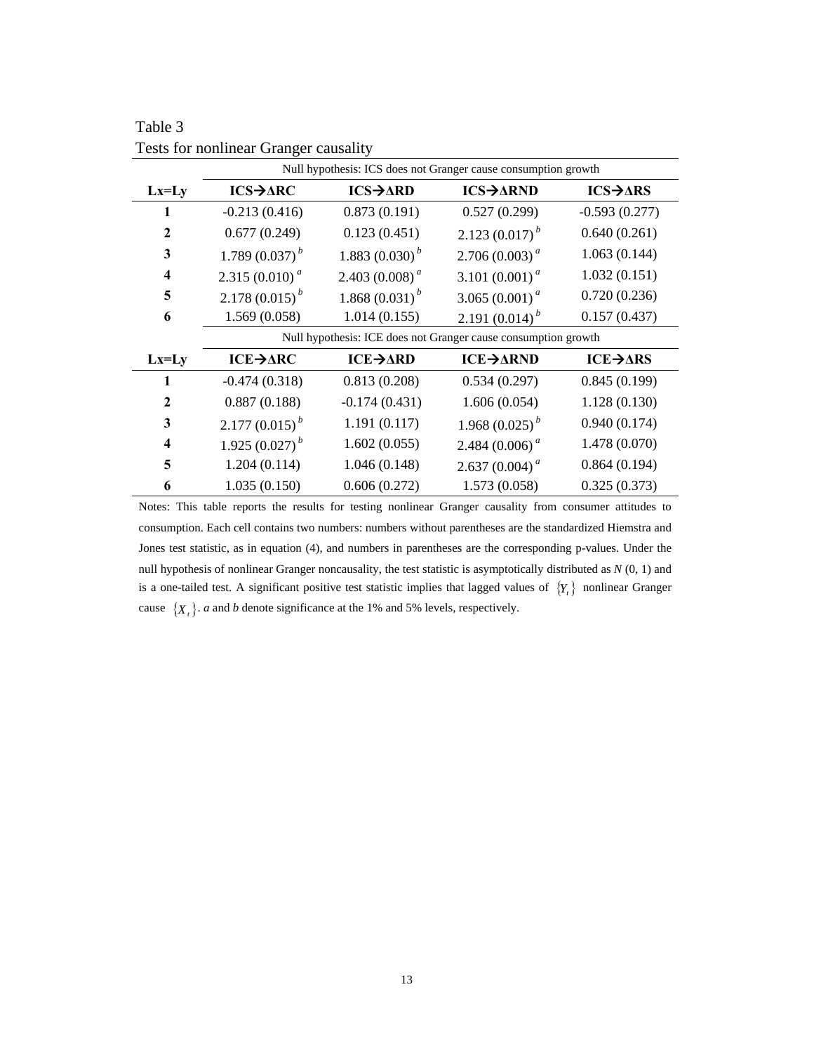|                         | Null hypothesis: ICS does not Granger cause consumption growth |                             |                                         |                             |  |
|-------------------------|----------------------------------------------------------------|-----------------------------|-----------------------------------------|-----------------------------|--|
| $Lx=Ly$                 | $ICS \rightarrow \Delta RC$                                    | $ICS \rightarrow \Delta RD$ | $ICS \rightarrow \Delta RND$            | $ICS \rightarrow \Delta RS$ |  |
| 1                       | $-0.213(0.416)$                                                | 0.873(0.191)                | 0.527(0.299)                            | $-0.593(0.277)$             |  |
| $\mathbf{2}$            | 0.677(0.249)                                                   | 0.123(0.451)                | 2.123 $(0.017)^{b}$                     | 0.640(0.261)                |  |
| 3                       | 1.789 $(0.037)^{b}$                                            | 1.883 $(0.030)^{b}$         | $2.706(0.003)^{a}$                      | 1.063(0.144)                |  |
| $\overline{\mathbf{4}}$ | 2.315 (0.010) $^a$                                             | 2.403 (0.008) <sup>a</sup>  | 3.101 $(0.001)^a$                       | 1.032(0.151)                |  |
| 5                       | 2.178 $(0.015)^{b}$                                            | 1.868 $(0.031)^{b}$         | 3.065 $(0.001)^a$                       | 0.720(0.236)                |  |
| 6                       | 1.569(0.058)                                                   | 1.014(0.155)                | 2.191 $(0.014)^{b}$                     | 0.157(0.437)                |  |
|                         | Null hypothesis: ICE does not Granger cause consumption growth |                             |                                         |                             |  |
| $Lx=Ly$                 | $ICE \rightarrow \triangle RC$                                 | $ICE \rightarrow \Delta RD$ | ICE→ARND                                | $ICE \rightarrow ARS$       |  |
| 1                       | $-0.474(0.318)$                                                | 0.813(0.208)                | 0.534(0.297)                            | 0.845(0.199)                |  |
| $\mathbf{2}$            | 0.887(0.188)                                                   | $-0.174(0.431)$             | 1.606(0.054)                            | 1.128(0.130)                |  |
| 3                       | $2.177(0.015)^{b}$                                             | 1.191(0.117)                | 1.968 $(0.025)^{b}$                     | 0.940(0.174)                |  |
| 4                       | 1.925 $(0.027)^{b}$                                            | 1.602(0.055)                | 2.484 $(0.006)^a$                       | 1.478 (0.070)               |  |
| 5                       | 1.204(0.114)                                                   | 1.046(0.148)                | 2.637 (0.004) <sup><math>a</math></sup> | 0.864(0.194)                |  |
| 6                       | 1.035(0.150)                                                   | 0.606(0.272)                | 1.573(0.058)                            | 0.325(0.373)                |  |

Table 3 Tests for nonlinear Granger causality

Notes: This table reports the results for testing nonlinear Granger causality from consumer attitudes to consumption. Each cell contains two numbers: numbers without parentheses are the standardized Hiemstra and Jones test statistic, as in equation (4), and numbers in parentheses are the corresponding p-values. Under the null hypothesis of nonlinear Granger noncausality, the test statistic is asymptotically distributed as *N* (0, 1) and is a one-tailed test. A significant positive test statistic implies that lagged values of  ${Y<sub>t</sub>}$  nonlinear Granger cause  $\{X_t\}$ . *a* and *b* denote significance at the 1% and 5% levels, respectively.